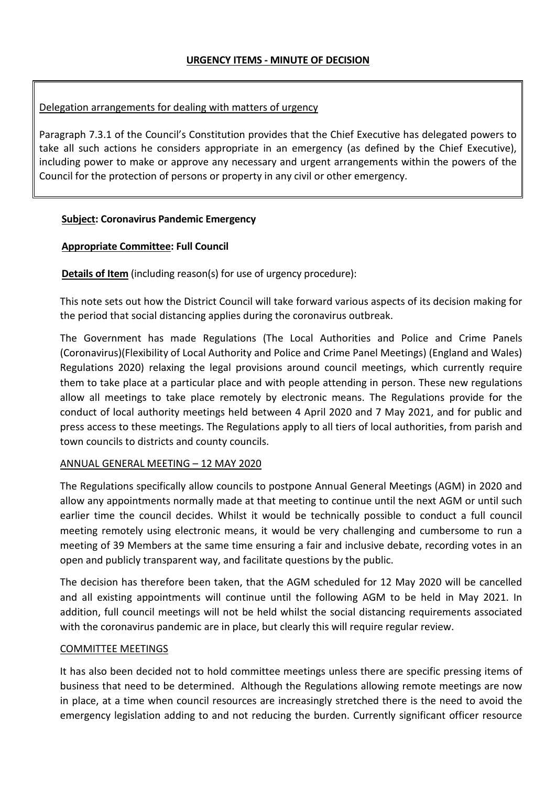# Delegation arrangements for dealing with matters of urgency

Paragraph 7.3.1 of the Council's Constitution provides that the Chief Executive has delegated powers to take all such actions he considers appropriate in an emergency (as defined by the Chief Executive), including power to make or approve any necessary and urgent arrangements within the powers of the Council for the protection of persons or property in any civil or other emergency.

# **Subject: Coronavirus Pandemic Emergency**

# **Appropriate Committee: Full Council**

**Details of Item** (including reason(s) for use of urgency procedure):

This note sets out how the District Council will take forward various aspects of its decision making for the period that social distancing applies during the coronavirus outbreak.

The Government has made Regulations (The Local Authorities and Police and Crime Panels (Coronavirus)(Flexibility of Local Authority and Police and Crime Panel Meetings) (England and Wales) Regulations 2020) relaxing the legal provisions around council meetings, which currently require them to take place at a particular place and with people attending in person. These new regulations allow all meetings to take place remotely by electronic means. The Regulations provide for the conduct of local authority meetings held between 4 April 2020 and 7 May 2021, and for public and press access to these meetings. The Regulations apply to all tiers of local authorities, from parish and town councils to districts and county councils.

# ANNUAL GENERAL MEETING – 12 MAY 2020

The Regulations specifically allow councils to postpone Annual General Meetings (AGM) in 2020 and allow any appointments normally made at that meeting to continue until the next AGM or until such earlier time the council decides. Whilst it would be technically possible to conduct a full council meeting remotely using electronic means, it would be very challenging and cumbersome to run a meeting of 39 Members at the same time ensuring a fair and inclusive debate, recording votes in an open and publicly transparent way, and facilitate questions by the public.

The decision has therefore been taken, that the AGM scheduled for 12 May 2020 will be cancelled and all existing appointments will continue until the following AGM to be held in May 2021. In addition, full council meetings will not be held whilst the social distancing requirements associated with the coronavirus pandemic are in place, but clearly this will require regular review.

## COMMITTEE MEETINGS

It has also been decided not to hold committee meetings unless there are specific pressing items of business that need to be determined. Although the Regulations allowing remote meetings are now in place, at a time when council resources are increasingly stretched there is the need to avoid the emergency legislation adding to and not reducing the burden. Currently significant officer resource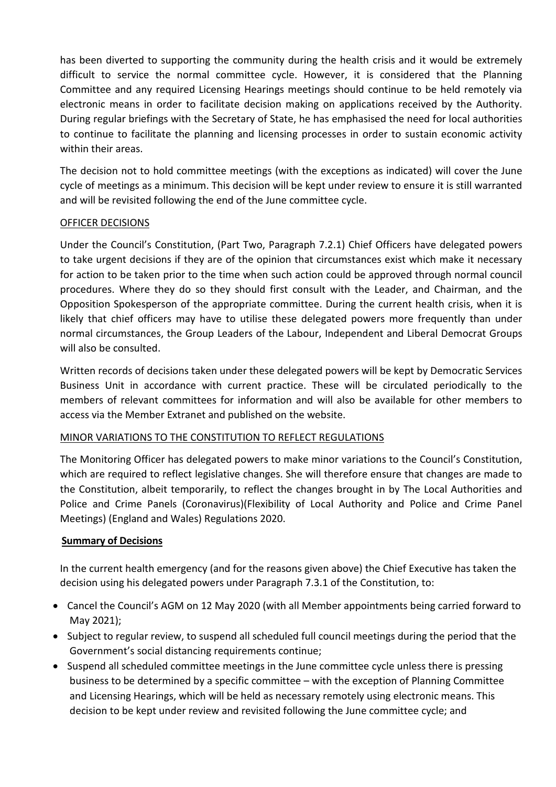has been diverted to supporting the community during the health crisis and it would be extremely difficult to service the normal committee cycle. However, it is considered that the Planning Committee and any required Licensing Hearings meetings should continue to be held remotely via electronic means in order to facilitate decision making on applications received by the Authority. During regular briefings with the Secretary of State, he has emphasised the need for local authorities to continue to facilitate the planning and licensing processes in order to sustain economic activity within their areas.

The decision not to hold committee meetings (with the exceptions as indicated) will cover the June cycle of meetings as a minimum. This decision will be kept under review to ensure it is still warranted and will be revisited following the end of the June committee cycle.

# OFFICER DECISIONS

Under the Council's Constitution, (Part Two, Paragraph 7.2.1) Chief Officers have delegated powers to take urgent decisions if they are of the opinion that circumstances exist which make it necessary for action to be taken prior to the time when such action could be approved through normal council procedures. Where they do so they should first consult with the Leader, and Chairman, and the Opposition Spokesperson of the appropriate committee. During the current health crisis, when it is likely that chief officers may have to utilise these delegated powers more frequently than under normal circumstances, the Group Leaders of the Labour, Independent and Liberal Democrat Groups will also be consulted.

Written records of decisions taken under these delegated powers will be kept by Democratic Services Business Unit in accordance with current practice. These will be circulated periodically to the members of relevant committees for information and will also be available for other members to access via the Member Extranet and published on the website.

## MINOR VARIATIONS TO THE CONSTITUTION TO REFLECT REGULATIONS

The Monitoring Officer has delegated powers to make minor variations to the Council's Constitution, which are required to reflect legislative changes. She will therefore ensure that changes are made to the Constitution, albeit temporarily, to reflect the changes brought in by The Local Authorities and Police and Crime Panels (Coronavirus)(Flexibility of Local Authority and Police and Crime Panel Meetings) (England and Wales) Regulations 2020.

## **Summary of Decisions**

In the current health emergency (and for the reasons given above) the Chief Executive has taken the decision using his delegated powers under Paragraph 7.3.1 of the Constitution, to:

- Cancel the Council's AGM on 12 May 2020 (with all Member appointments being carried forward to May 2021);
- Subject to regular review, to suspend all scheduled full council meetings during the period that the Government's social distancing requirements continue;
- Suspend all scheduled committee meetings in the June committee cycle unless there is pressing business to be determined by a specific committee – with the exception of Planning Committee and Licensing Hearings, which will be held as necessary remotely using electronic means. This decision to be kept under review and revisited following the June committee cycle; and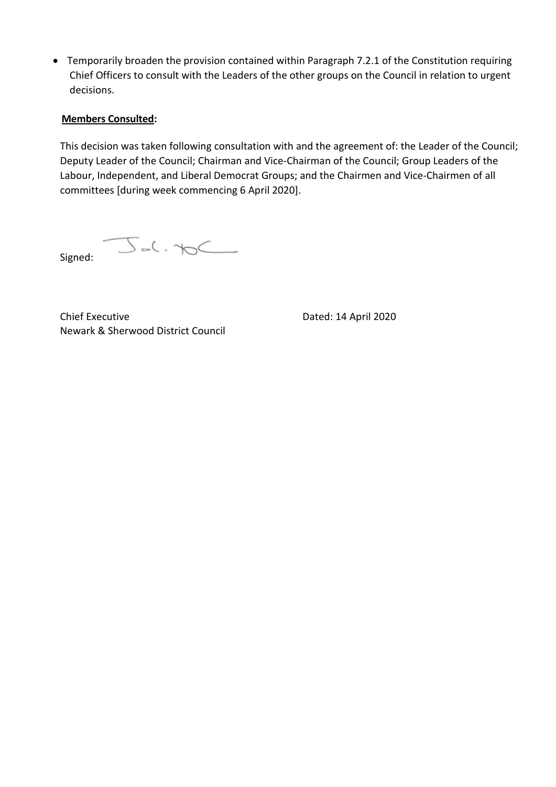• Temporarily broaden the provision contained within Paragraph 7.2.1 of the Constitution requiring Chief Officers to consult with the Leaders of the other groups on the Council in relation to urgent decisions.

# **Members Consulted:**

This decision was taken following consultation with and the agreement of: the Leader of the Council; Deputy Leader of the Council; Chairman and Vice-Chairman of the Council; Group Leaders of the Labour, Independent, and Liberal Democrat Groups; and the Chairmen and Vice-Chairmen of all committees [during week commencing 6 April 2020].

 $\rightarrow$ Signed:

Chief Executive **Dated: 14 April 2020** Newark & Sherwood District Council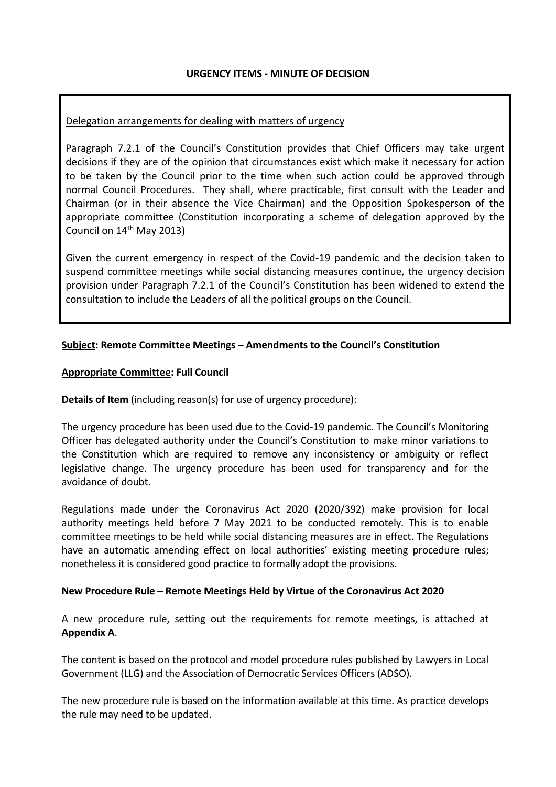# **URGENCY ITEMS - MINUTE OF DECISION**

## Delegation arrangements for dealing with matters of urgency

Paragraph 7.2.1 of the Council's Constitution provides that Chief Officers may take urgent decisions if they are of the opinion that circumstances exist which make it necessary for action to be taken by the Council prior to the time when such action could be approved through normal Council Procedures. They shall, where practicable, first consult with the Leader and Chairman (or in their absence the Vice Chairman) and the Opposition Spokesperson of the appropriate committee (Constitution incorporating a scheme of delegation approved by the Council on 14th May 2013)

Given the current emergency in respect of the Covid-19 pandemic and the decision taken to suspend committee meetings while social distancing measures continue, the urgency decision provision under Paragraph 7.2.1 of the Council's Constitution has been widened to extend the consultation to include the Leaders of all the political groups on the Council.

# **Subject: Remote Committee Meetings – Amendments to the Council's Constitution**

## **Appropriate Committee: Full Council**

**Details of Item** (including reason(s) for use of urgency procedure):

The urgency procedure has been used due to the Covid-19 pandemic. The Council's Monitoring Officer has delegated authority under the Council's Constitution to make minor variations to the Constitution which are required to remove any inconsistency or ambiguity or reflect legislative change. The urgency procedure has been used for transparency and for the avoidance of doubt.

Regulations made under the Coronavirus Act 2020 (2020/392) make provision for local authority meetings held before 7 May 2021 to be conducted remotely. This is to enable committee meetings to be held while social distancing measures are in effect. The Regulations have an automatic amending effect on local authorities' existing meeting procedure rules; nonetheless it is considered good practice to formally adopt the provisions.

#### **New Procedure Rule – Remote Meetings Held by Virtue of the Coronavirus Act 2020**

A new procedure rule, setting out the requirements for remote meetings, is attached at **Appendix A**.

The content is based on the protocol and model procedure rules published by Lawyers in Local Government (LLG) and the Association of Democratic Services Officers (ADSO).

The new procedure rule is based on the information available at this time. As practice develops the rule may need to be updated.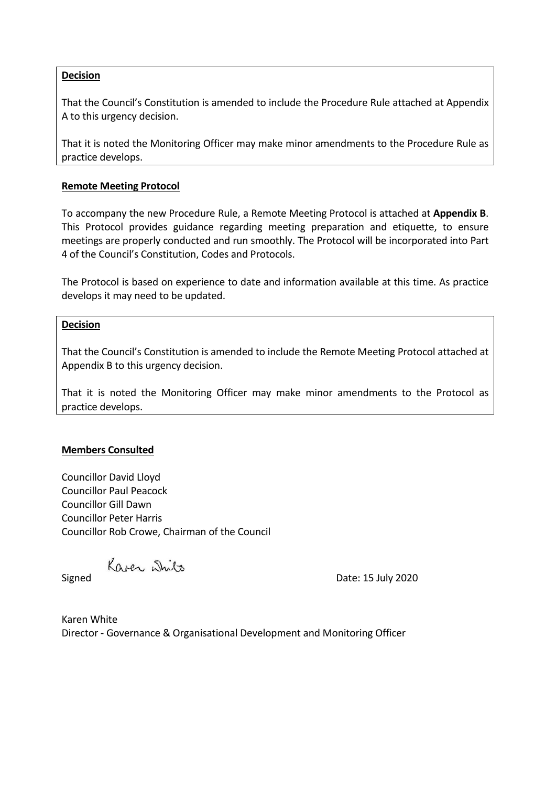## **Decision**

That the Council's Constitution is amended to include the Procedure Rule attached at Appendix A to this urgency decision.

That it is noted the Monitoring Officer may make minor amendments to the Procedure Rule as practice develops.

## **Remote Meeting Protocol**

To accompany the new Procedure Rule, a Remote Meeting Protocol is attached at **Appendix B**. This Protocol provides guidance regarding meeting preparation and etiquette, to ensure meetings are properly conducted and run smoothly. The Protocol will be incorporated into Part 4 of the Council's Constitution, Codes and Protocols.

The Protocol is based on experience to date and information available at this time. As practice develops it may need to be updated.

## **Decision**

That the Council's Constitution is amended to include the Remote Meeting Protocol attached at Appendix B to this urgency decision.

That it is noted the Monitoring Officer may make minor amendments to the Protocol as practice develops.

## **Members Consulted**

Councillor David Lloyd Councillor Paul Peacock Councillor Gill Dawn Councillor Peter Harris Councillor Rob Crowe, Chairman of the Council

Kaser White

Signed Date: 15 July 2020

Karen White Director - Governance & Organisational Development and Monitoring Officer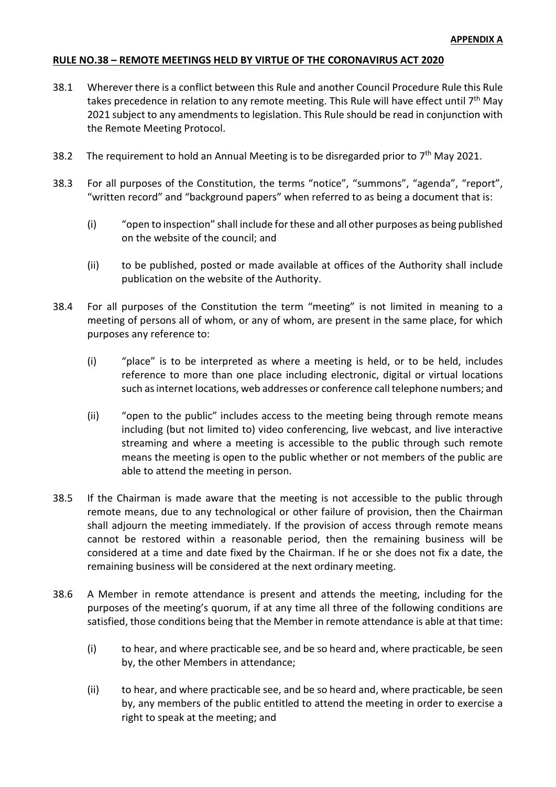## **RULE NO.38 – REMOTE MEETINGS HELD BY VIRTUE OF THE CORONAVIRUS ACT 2020**

- 38.1 Wherever there is a conflict between this Rule and another Council Procedure Rule this Rule takes precedence in relation to any remote meeting. This Rule will have effect until  $7<sup>th</sup>$  May 2021 subject to any amendments to legislation. This Rule should be read in conjunction with the Remote Meeting Protocol.
- 38.2 The requirement to hold an Annual Meeting is to be disregarded prior to  $7<sup>th</sup>$  May 2021.
- 38.3 For all purposes of the Constitution, the terms "notice", "summons", "agenda", "report", "written record" and "background papers" when referred to as being a document that is:
	- (i) "open to inspection" shall include for these and all other purposes as being published on the website of the council; and
	- (ii) to be published, posted or made available at offices of the Authority shall include publication on the website of the Authority.
- 38.4 For all purposes of the Constitution the term "meeting" is not limited in meaning to a meeting of persons all of whom, or any of whom, are present in the same place, for which purposes any reference to:
	- (i) "place" is to be interpreted as where a meeting is held, or to be held, includes reference to more than one place including electronic, digital or virtual locations such as internet locations, web addresses or conference call telephone numbers; and
	- (ii) "open to the public" includes access to the meeting being through remote means including (but not limited to) video conferencing, live webcast, and live interactive streaming and where a meeting is accessible to the public through such remote means the meeting is open to the public whether or not members of the public are able to attend the meeting in person.
- 38.5 If the Chairman is made aware that the meeting is not accessible to the public through remote means, due to any technological or other failure of provision, then the Chairman shall adjourn the meeting immediately. If the provision of access through remote means cannot be restored within a reasonable period, then the remaining business will be considered at a time and date fixed by the Chairman. If he or she does not fix a date, the remaining business will be considered at the next ordinary meeting.
- 38.6 A Member in remote attendance is present and attends the meeting, including for the purposes of the meeting's quorum, if at any time all three of the following conditions are satisfied, those conditions being that the Member in remote attendance is able at that time:
	- (i) to hear, and where practicable see, and be so heard and, where practicable, be seen by, the other Members in attendance;
	- (ii) to hear, and where practicable see, and be so heard and, where practicable, be seen by, any members of the public entitled to attend the meeting in order to exercise a right to speak at the meeting; and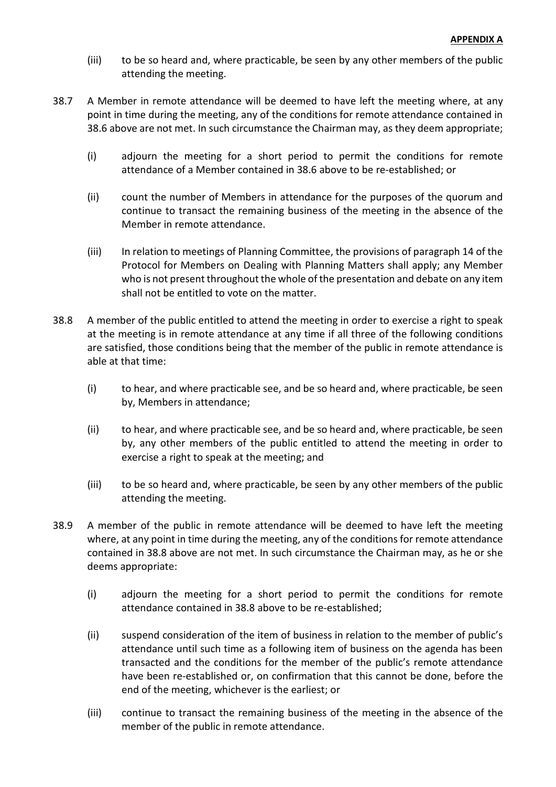- (iii) to be so heard and, where practicable, be seen by any other members of the public attending the meeting.
- 38.7 A Member in remote attendance will be deemed to have left the meeting where, at any point in time during the meeting, any of the conditions for remote attendance contained in 38.6 above are not met. In such circumstance the Chairman may, as they deem appropriate;
	- (i) adjourn the meeting for a short period to permit the conditions for remote attendance of a Member contained in 38.6 above to be re-established; or
	- (ii) count the number of Members in attendance for the purposes of the quorum and continue to transact the remaining business of the meeting in the absence of the Member in remote attendance.
	- (iii) In relation to meetings of Planning Committee, the provisions of paragraph 14 of the Protocol for Members on Dealing with Planning Matters shall apply; any Member who is not present throughout the whole of the presentation and debate on any item shall not be entitled to vote on the matter.
- 38.8 A member of the public entitled to attend the meeting in order to exercise a right to speak at the meeting is in remote attendance at any time if all three of the following conditions are satisfied, those conditions being that the member of the public in remote attendance is able at that time:
	- (i) to hear, and where practicable see, and be so heard and, where practicable, be seen by, Members in attendance;
	- (ii) to hear, and where practicable see, and be so heard and, where practicable, be seen by, any other members of the public entitled to attend the meeting in order to exercise a right to speak at the meeting; and
	- (iii) to be so heard and, where practicable, be seen by any other members of the public attending the meeting.
- 38.9 A member of the public in remote attendance will be deemed to have left the meeting where, at any point in time during the meeting, any of the conditions for remote attendance contained in 38.8 above are not met. In such circumstance the Chairman may, as he or she deems appropriate:
	- (i) adjourn the meeting for a short period to permit the conditions for remote attendance contained in 38.8 above to be re-established;
	- (ii) suspend consideration of the item of business in relation to the member of public's attendance until such time as a following item of business on the agenda has been transacted and the conditions for the member of the public's remote attendance have been re-established or, on confirmation that this cannot be done, before the end of the meeting, whichever is the earliest; or
	- (iii) continue to transact the remaining business of the meeting in the absence of the member of the public in remote attendance.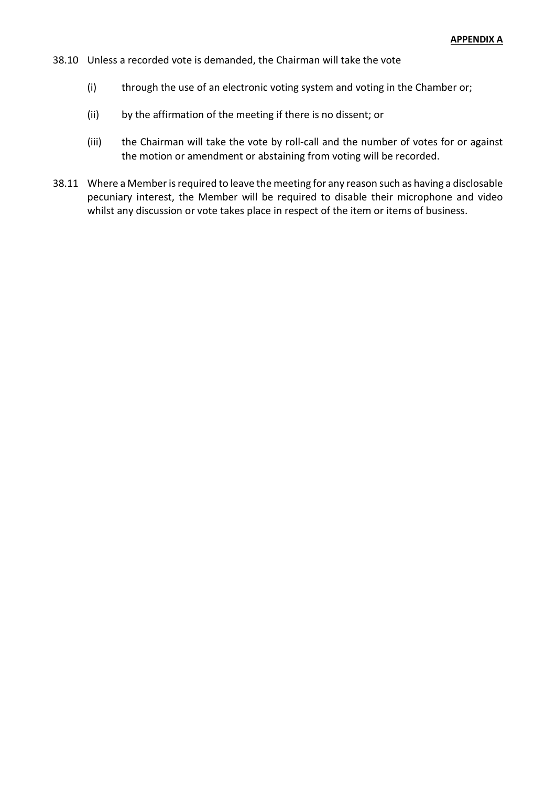- 38.10 Unless a recorded vote is demanded, the Chairman will take the vote
	- (i) through the use of an electronic voting system and voting in the Chamber or;
	- (ii) by the affirmation of the meeting if there is no dissent; or
	- (iii) the Chairman will take the vote by roll-call and the number of votes for or against the motion or amendment or abstaining from voting will be recorded.
- 38.11 Where a Member is required to leave the meeting for any reason such as having a disclosable pecuniary interest, the Member will be required to disable their microphone and video whilst any discussion or vote takes place in respect of the item or items of business.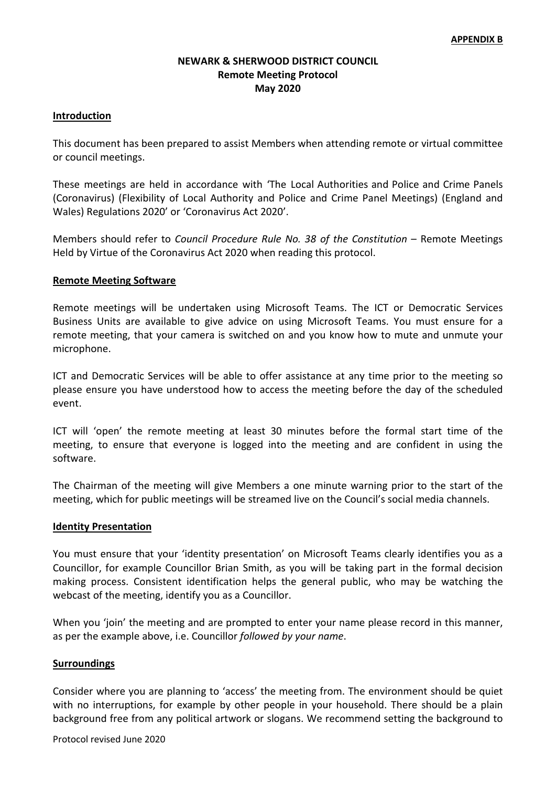# **NEWARK & SHERWOOD DISTRICT COUNCIL Remote Meeting Protocol May 2020**

## **Introduction**

This document has been prepared to assist Members when attending remote or virtual committee or council meetings.

These meetings are held in accordance with 'The Local Authorities and Police and Crime Panels (Coronavirus) (Flexibility of Local Authority and Police and Crime Panel Meetings) (England and Wales) Regulations 2020' or 'Coronavirus Act 2020'.

Members should refer to *Council Procedure Rule No. 38 of the Constitution* – Remote Meetings Held by Virtue of the Coronavirus Act 2020 when reading this protocol.

#### **Remote Meeting Software**

Remote meetings will be undertaken using Microsoft Teams. The ICT or Democratic Services Business Units are available to give advice on using Microsoft Teams. You must ensure for a remote meeting, that your camera is switched on and you know how to mute and unmute your microphone.

ICT and Democratic Services will be able to offer assistance at any time prior to the meeting so please ensure you have understood how to access the meeting before the day of the scheduled event.

ICT will 'open' the remote meeting at least 30 minutes before the formal start time of the meeting, to ensure that everyone is logged into the meeting and are confident in using the software.

The Chairman of the meeting will give Members a one minute warning prior to the start of the meeting, which for public meetings will be streamed live on the Council's social media channels.

#### **Identity Presentation**

You must ensure that your 'identity presentation' on Microsoft Teams clearly identifies you as a Councillor, for example Councillor Brian Smith, as you will be taking part in the formal decision making process. Consistent identification helps the general public, who may be watching the webcast of the meeting, identify you as a Councillor.

When you 'join' the meeting and are prompted to enter your name please record in this manner, as per the example above, i.e. Councillor *followed by your name*.

#### **Surroundings**

Consider where you are planning to 'access' the meeting from. The environment should be quiet with no interruptions, for example by other people in your household. There should be a plain background free from any political artwork or slogans. We recommend setting the background to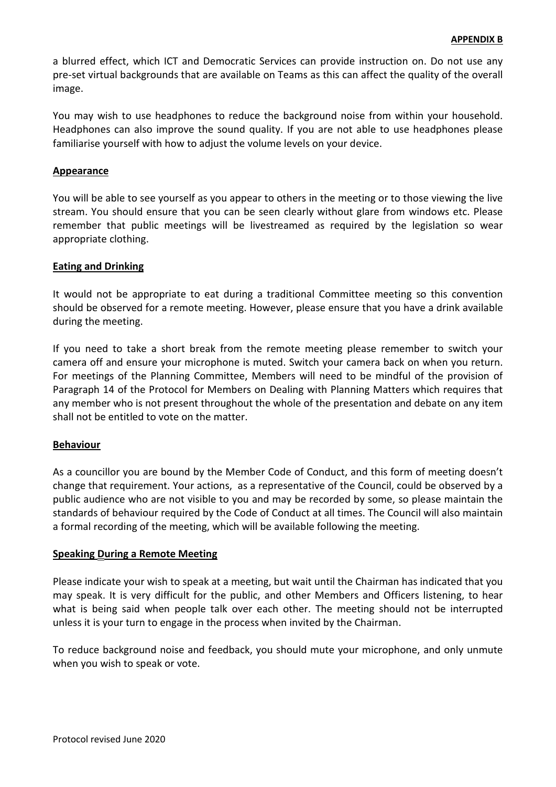a blurred effect, which ICT and Democratic Services can provide instruction on. Do not use any pre-set virtual backgrounds that are available on Teams as this can affect the quality of the overall image.

You may wish to use headphones to reduce the background noise from within your household. Headphones can also improve the sound quality. If you are not able to use headphones please familiarise yourself with how to adjust the volume levels on your device.

## **Appearance**

You will be able to see yourself as you appear to others in the meeting or to those viewing the live stream. You should ensure that you can be seen clearly without glare from windows etc. Please remember that public meetings will be livestreamed as required by the legislation so wear appropriate clothing.

## **Eating and Drinking**

It would not be appropriate to eat during a traditional Committee meeting so this convention should be observed for a remote meeting. However, please ensure that you have a drink available during the meeting.

If you need to take a short break from the remote meeting please remember to switch your camera off and ensure your microphone is muted. Switch your camera back on when you return. For meetings of the Planning Committee, Members will need to be mindful of the provision of Paragraph 14 of the Protocol for Members on Dealing with Planning Matters which requires that any member who is not present throughout the whole of the presentation and debate on any item shall not be entitled to vote on the matter.

## **Behaviour**

As a councillor you are bound by the Member Code of Conduct, and this form of meeting doesn't change that requirement. Your actions, as a representative of the Council, could be observed by a public audience who are not visible to you and may be recorded by some, so please maintain the standards of behaviour required by the Code of Conduct at all times. The Council will also maintain a formal recording of the meeting, which will be available following the meeting.

#### **Speaking During a Remote Meeting**

Please indicate your wish to speak at a meeting, but wait until the Chairman has indicated that you may speak. It is very difficult for the public, and other Members and Officers listening, to hear what is being said when people talk over each other. The meeting should not be interrupted unless it is your turn to engage in the process when invited by the Chairman.

To reduce background noise and feedback, you should mute your microphone, and only unmute when you wish to speak or vote.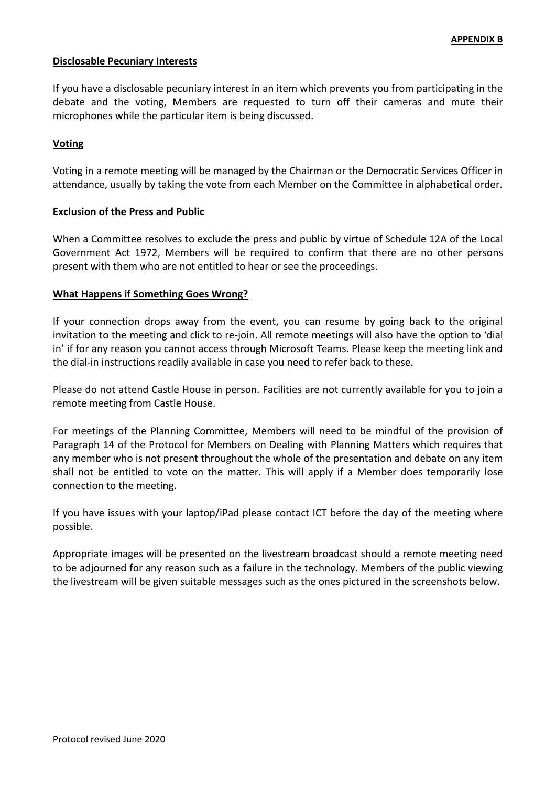## **Disclosable Pecuniary Interests**

If you have a disclosable pecuniary interest in an item which prevents you from participating in the debate and the voting, Members are requested to turn off their cameras and mute their microphones while the particular item is being discussed.

## **Voting**

Voting in a remote meeting will be managed by the Chairman or the Democratic Services Officer in attendance, usually by taking the vote from each Member on the Committee in alphabetical order.

## **Exclusion of the Press and Public**

When a Committee resolves to exclude the press and public by virtue of Schedule 12A of the Local Government Act 1972, Members will be required to confirm that there are no other persons present with them who are not entitled to hear or see the proceedings.

## **What Happens if Something Goes Wrong?**

If your connection drops away from the event, you can resume by going back to the original invitation to the meeting and click to re-join. All remote meetings will also have the option to 'dial in' if for any reason you cannot access through Microsoft Teams. Please keep the meeting link and the dial-in instructions readily available in case you need to refer back to these.

Please do not attend Castle House in person. Facilities are not currently available for you to join a remote meeting from Castle House.

For meetings of the Planning Committee, Members will need to be mindful of the provision of Paragraph 14 of the Protocol for Members on Dealing with Planning Matters which requires that any member who is not present throughout the whole of the presentation and debate on any item shall not be entitled to vote on the matter. This will apply if a Member does temporarily lose connection to the meeting.

If you have issues with your laptop/iPad please contact ICT before the day of the meeting where possible.

Appropriate images will be presented on the livestream broadcast should a remote meeting need to be adjourned for any reason such as a failure in the technology. Members of the public viewing the livestream will be given suitable messages such as the ones pictured in the screenshots below.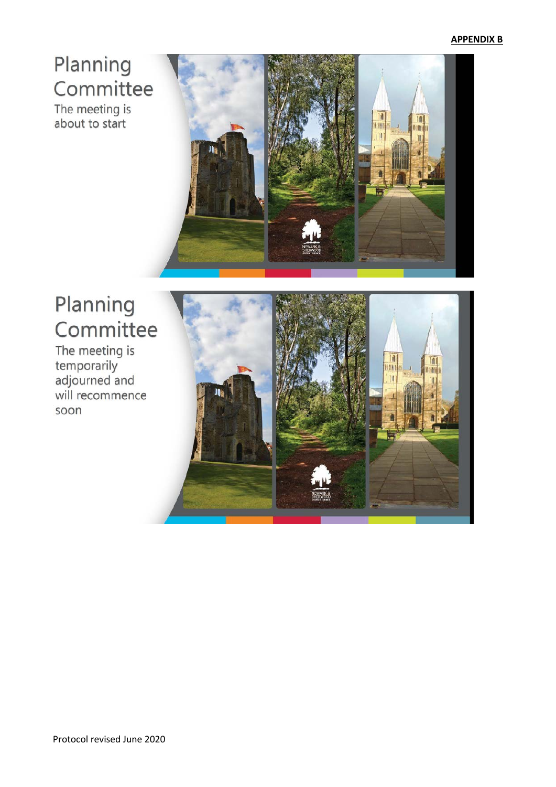# Planning Committee

The meeting is about to start



# Planning Committee

The meeting is temporarily<br>adjourned and will recommence soon

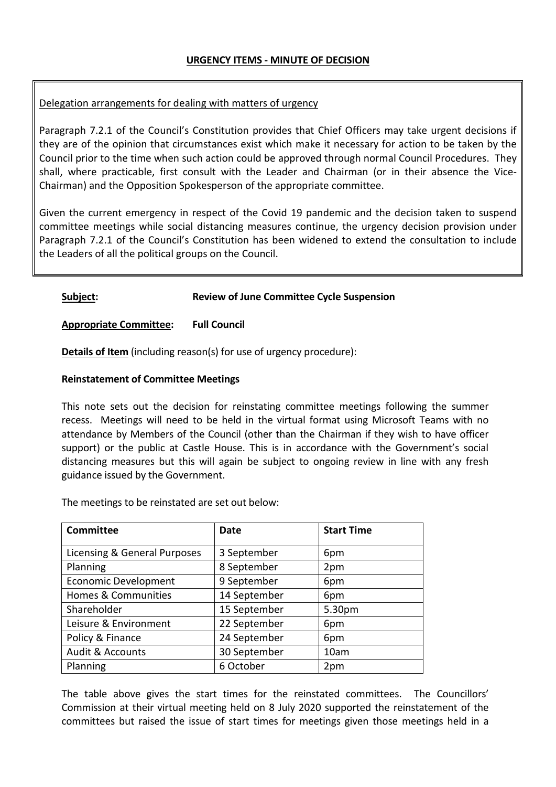# Delegation arrangements for dealing with matters of urgency

Paragraph 7.2.1 of the Council's Constitution provides that Chief Officers may take urgent decisions if they are of the opinion that circumstances exist which make it necessary for action to be taken by the Council prior to the time when such action could be approved through normal Council Procedures. They shall, where practicable, first consult with the Leader and Chairman (or in their absence the Vice-Chairman) and the Opposition Spokesperson of the appropriate committee.

Given the current emergency in respect of the Covid 19 pandemic and the decision taken to suspend committee meetings while social distancing measures continue, the urgency decision provision under Paragraph 7.2.1 of the Council's Constitution has been widened to extend the consultation to include the Leaders of all the political groups on the Council.

## **Subject: Review of June Committee Cycle Suspension**

## **Appropriate Committee: Full Council**

**Details of Item** (including reason(s) for use of urgency procedure):

## **Reinstatement of Committee Meetings**

This note sets out the decision for reinstating committee meetings following the summer recess. Meetings will need to be held in the virtual format using Microsoft Teams with no attendance by Members of the Council (other than the Chairman if they wish to have officer support) or the public at Castle House. This is in accordance with the Government's social distancing measures but this will again be subject to ongoing review in line with any fresh guidance issued by the Government.

The meetings to be reinstated are set out below:

| <b>Committee</b>             | <b>Date</b>  | <b>Start Time</b> |
|------------------------------|--------------|-------------------|
| Licensing & General Purposes | 3 September  | 6pm               |
| Planning                     | 8 September  | 2pm               |
| <b>Economic Development</b>  | 9 September  | 6pm               |
| Homes & Communities          | 14 September | 6pm               |
| Shareholder                  | 15 September | 5.30pm            |
| Leisure & Environment        | 22 September | 6pm               |
| Policy & Finance             | 24 September | 6pm               |
| <b>Audit &amp; Accounts</b>  | 30 September | 10am              |
| Planning                     | 6 October    | 2pm               |

The table above gives the start times for the reinstated committees. The Councillors' Commission at their virtual meeting held on 8 July 2020 supported the reinstatement of the committees but raised the issue of start times for meetings given those meetings held in a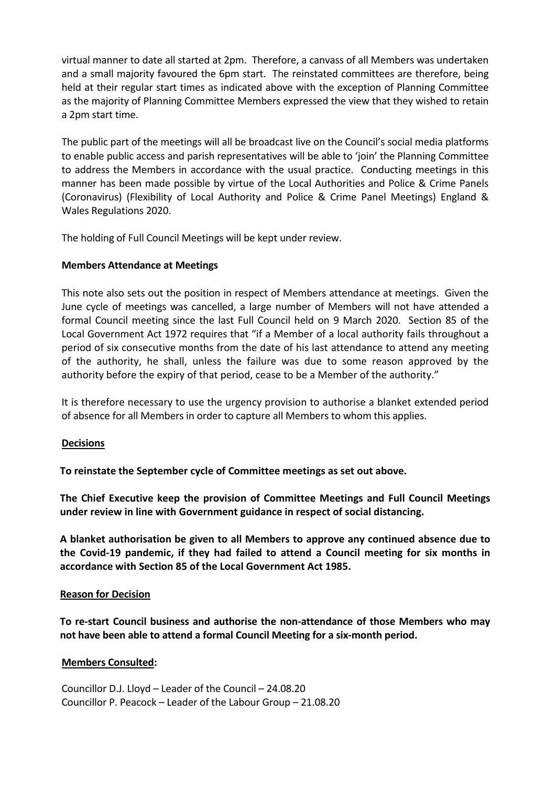virtual manner to date all started at 2pm. Therefore, a canvass of all Members was undertaken and a small majority favoured the 6pm start. The reinstated committees are therefore, being held at their regular start times as indicated above with the exception of Planning Committee as the majority of Planning Committee Members expressed the view that they wished to retain a 2pm start time.

The public part of the meetings will all be broadcast live on the Council's social media platforms to enable public access and parish representatives will be able to 'join' the Planning Committee to address the Members in accordance with the usual practice. Conducting meetings in this manner has been made possible by virtue of the Local Authorities and Police & Crime Panels (Coronavirus) (Flexibility of Local Authority and Police & Crime Panel Meetings) England & Wales Regulations 2020.

The holding of Full Council Meetings will be kept under review.

# **Members Attendance at Meetings**

This note also sets out the position in respect of Members attendance at meetings. Given the June cycle of meetings was cancelled, a large number of Members will not have attended a formal Council meeting since the last Full Council held on 9 March 2020. Section 85 of the Local Government Act 1972 requires that "if a Member of a local authority fails throughout a period of six consecutive months from the date of his last attendance to attend any meeting of the authority, he shall, unless the failure was due to some reason approved by the authority before the expiry of that period, cease to be a Member of the authority."

It is therefore necessary to use the urgency provision to authorise a blanket extended period of absence for all Members in order to capture all Members to whom this applies.

## **Decisions**

**To reinstate the September cycle of Committee meetings as set out above.** 

**The Chief Executive keep the provision of Committee Meetings and Full Council Meetings under review in line with Government guidance in respect of social distancing.** 

**A blanket authorisation be given to all Members to approve any continued absence due to the Covid-19 pandemic, if they had failed to attend a Council meeting for six months in accordance with Section 85 of the Local Government Act 1985.**

## **Reason for Decision**

**To re-start Council business and authorise the non-attendance of those Members who may not have been able to attend a formal Council Meeting for a six-month period.** 

## **Members Consulted:**

Councillor D.J. Lloyd – Leader of the Council – 24.08.20 Councillor P. Peacock – Leader of the Labour Group – 21.08.20